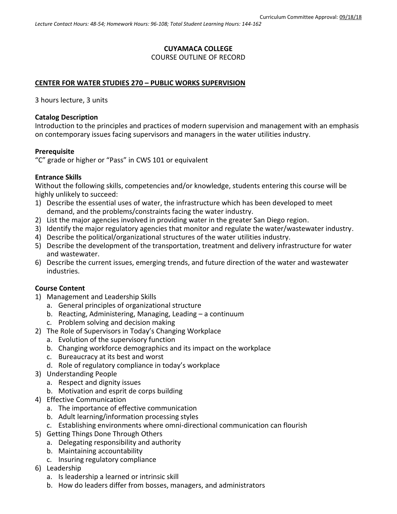# **CUYAMACA COLLEGE**

# COURSE OUTLINE OF RECORD

## **CENTER FOR WATER STUDIES 270 – PUBLIC WORKS SUPERVISION**

3 hours lecture, 3 units

#### **Catalog Description**

Introduction to the principles and practices of modern supervision and management with an emphasis on contemporary issues facing supervisors and managers in the water utilities industry.

#### **Prerequisite**

"C" grade or higher or "Pass" in CWS 101 or equivalent

## **Entrance Skills**

Without the following skills, competencies and/or knowledge, students entering this course will be highly unlikely to succeed:

- 1) Describe the essential uses of water, the infrastructure which has been developed to meet demand, and the problems/constraints facing the water industry.
- 2) List the major agencies involved in providing water in the greater San Diego region.
- 3) Identify the major regulatory agencies that monitor and regulate the water/wastewater industry.
- 4) Describe the political/organizational structures of the water utilities industry.
- 5) Describe the development of the transportation, treatment and delivery infrastructure for water and wastewater.
- 6) Describe the current issues, emerging trends, and future direction of the water and wastewater industries.

## **Course Content**

- 1) Management and Leadership Skills
	- a. General principles of organizational structure
	- b. Reacting, Administering, Managing, Leading a continuum
	- c. Problem solving and decision making
- 2) The Role of Supervisors in Today's Changing Workplace
	- a. Evolution of the supervisory function
		- b. Changing workforce demographics and its impact on the workplace
		- c. Bureaucracy at its best and worst
		- d. Role of regulatory compliance in today's workplace
- 3) Understanding People
	- a. Respect and dignity issues
	- b. Motivation and esprit de corps building
- 4) Effective Communication
	- a. The importance of effective communication
	- b. Adult learning/information processing styles
	- c. Establishing environments where omni-directional communication can flourish
- 5) Getting Things Done Through Others
	- a. Delegating responsibility and authority
	- b. Maintaining accountability
	- c. Insuring regulatory compliance
- 6) Leadership
	- a. Is leadership a learned or intrinsic skill
	- b. How do leaders differ from bosses, managers, and administrators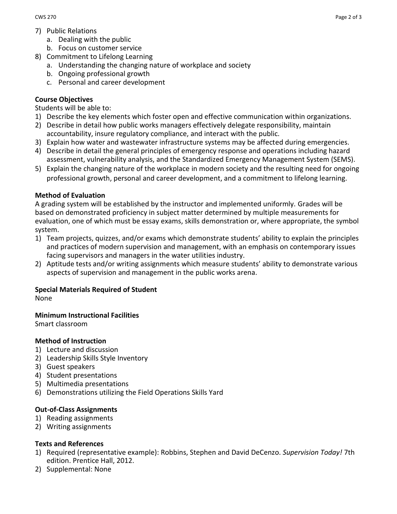- 7) Public Relations
	- a. Dealing with the public
	- b. Focus on customer service
- 8) Commitment to Lifelong Learning
	- a. Understanding the changing nature of workplace and society
	- b. Ongoing professional growth
	- c. Personal and career development

# **Course Objectives**

Students will be able to:

- 1) Describe the key elements which foster open and effective communication within organizations.
- 2) Describe in detail how public works managers effectively delegate responsibility, maintain accountability, insure regulatory compliance, and interact with the public.
- 3) Explain how water and wastewater infrastructure systems may be affected during emergencies.
- 4) Describe in detail the general principles of emergency response and operations including hazard assessment, vulnerability analysis, and the Standardized Emergency Management System (SEMS).
- 5) Explain the changing nature of the workplace in modern society and the resulting need for ongoing professional growth, personal and career development, and a commitment to lifelong learning.

## **Method of Evaluation**

A grading system will be established by the instructor and implemented uniformly. Grades will be based on demonstrated proficiency in subject matter determined by multiple measurements for evaluation, one of which must be essay exams, skills demonstration or, where appropriate, the symbol system.

- 1) Team projects, quizzes, and/or exams which demonstrate students' ability to explain the principles and practices of modern supervision and management, with an emphasis on contemporary issues facing supervisors and managers in the water utilities industry.
- 2) Aptitude tests and/or writing assignments which measure students' ability to demonstrate various aspects of supervision and management in the public works arena.

## **Special Materials Required of Student**

None

## **Minimum Instructional Facilities**

Smart classroom

## **Method of Instruction**

- 1) Lecture and discussion
- 2) Leadership Skills Style Inventory
- 3) Guest speakers
- 4) Student presentations
- 5) Multimedia presentations
- 6) Demonstrations utilizing the Field Operations Skills Yard

## **Out-of-Class Assignments**

- 1) Reading assignments
- 2) Writing assignments

# **Texts and References**

- 1) Required (representative example): Robbins, Stephen and David DeCenzo. *Supervision Today!* 7th edition. Prentice Hall, 2012.
- 2) Supplemental: None